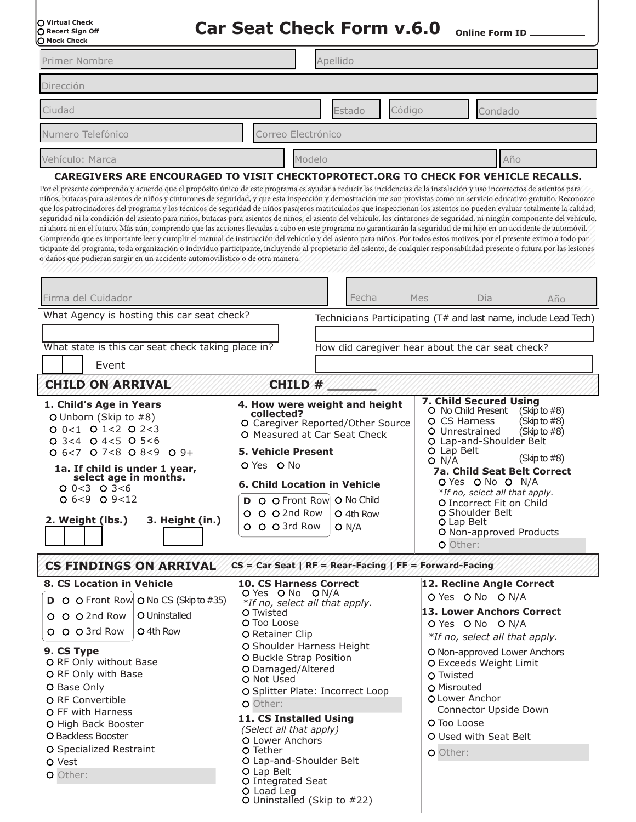| O Virtual Check<br>○ Recert Sign Off<br>○ Mock Check |
|------------------------------------------------------|
|                                                      |
|                                                      |

Car Seat Check Form v.6.0 online Form ID

| Primer Nombre                                                                                                                                                                                                                                                                                                                                                         |                                                                                                                                                                                                                                                                                                                                                                                                                                                                                                                                                                                                                                                                                                                                                                                                                                                                                                                                                                                                                                                                                                                                                                                                                                                                                                                                                                                                              |                                                                                                                                                                                                                                                                                                  | Apellido                                                                                                                                                                                                                                                                                                                                                                     |                                                          |                                                                                                                                                                                                                                                                                                                                                                                                     |                                                                                                                                                                                                                                                                                                                       |                                                                 |  |
|-----------------------------------------------------------------------------------------------------------------------------------------------------------------------------------------------------------------------------------------------------------------------------------------------------------------------------------------------------------------------|--------------------------------------------------------------------------------------------------------------------------------------------------------------------------------------------------------------------------------------------------------------------------------------------------------------------------------------------------------------------------------------------------------------------------------------------------------------------------------------------------------------------------------------------------------------------------------------------------------------------------------------------------------------------------------------------------------------------------------------------------------------------------------------------------------------------------------------------------------------------------------------------------------------------------------------------------------------------------------------------------------------------------------------------------------------------------------------------------------------------------------------------------------------------------------------------------------------------------------------------------------------------------------------------------------------------------------------------------------------------------------------------------------------|--------------------------------------------------------------------------------------------------------------------------------------------------------------------------------------------------------------------------------------------------------------------------------------------------|------------------------------------------------------------------------------------------------------------------------------------------------------------------------------------------------------------------------------------------------------------------------------------------------------------------------------------------------------------------------------|----------------------------------------------------------|-----------------------------------------------------------------------------------------------------------------------------------------------------------------------------------------------------------------------------------------------------------------------------------------------------------------------------------------------------------------------------------------------------|-----------------------------------------------------------------------------------------------------------------------------------------------------------------------------------------------------------------------------------------------------------------------------------------------------------------------|-----------------------------------------------------------------|--|
| Dirección                                                                                                                                                                                                                                                                                                                                                             |                                                                                                                                                                                                                                                                                                                                                                                                                                                                                                                                                                                                                                                                                                                                                                                                                                                                                                                                                                                                                                                                                                                                                                                                                                                                                                                                                                                                              |                                                                                                                                                                                                                                                                                                  |                                                                                                                                                                                                                                                                                                                                                                              |                                                          |                                                                                                                                                                                                                                                                                                                                                                                                     |                                                                                                                                                                                                                                                                                                                       |                                                                 |  |
| Ciudad                                                                                                                                                                                                                                                                                                                                                                |                                                                                                                                                                                                                                                                                                                                                                                                                                                                                                                                                                                                                                                                                                                                                                                                                                                                                                                                                                                                                                                                                                                                                                                                                                                                                                                                                                                                              |                                                                                                                                                                                                                                                                                                  |                                                                                                                                                                                                                                                                                                                                                                              | Código<br>Estado<br>Condado                              |                                                                                                                                                                                                                                                                                                                                                                                                     |                                                                                                                                                                                                                                                                                                                       |                                                                 |  |
| Numero Telefónico                                                                                                                                                                                                                                                                                                                                                     |                                                                                                                                                                                                                                                                                                                                                                                                                                                                                                                                                                                                                                                                                                                                                                                                                                                                                                                                                                                                                                                                                                                                                                                                                                                                                                                                                                                                              |                                                                                                                                                                                                                                                                                                  | Correo Electrónico                                                                                                                                                                                                                                                                                                                                                           |                                                          |                                                                                                                                                                                                                                                                                                                                                                                                     |                                                                                                                                                                                                                                                                                                                       |                                                                 |  |
| Vehículo: Marca                                                                                                                                                                                                                                                                                                                                                       |                                                                                                                                                                                                                                                                                                                                                                                                                                                                                                                                                                                                                                                                                                                                                                                                                                                                                                                                                                                                                                                                                                                                                                                                                                                                                                                                                                                                              |                                                                                                                                                                                                                                                                                                  | Modelo                                                                                                                                                                                                                                                                                                                                                                       |                                                          |                                                                                                                                                                                                                                                                                                                                                                                                     |                                                                                                                                                                                                                                                                                                                       | Año                                                             |  |
|                                                                                                                                                                                                                                                                                                                                                                       | CAREGIVERS ARE ENCOURAGED TO VISIT CHECKTOPROTECT.ORG TO CHECK FOR VEHICLE RECALLS.<br>Por el presente comprendo y acuerdo que el propósito único de este programa es ayudar a reducir las incidencias de la instalación y uso incorrectos de asientos para<br>niños, butacas para asientos de niños y cinturones de seguridad, y que esta inspección y demostración me son provistas como un servicio educativo gratuito. Reconozco<br>que los patrocinadores del programa y los técnicos de seguridad de niños pasajeros matriculados que inspeccionan los asientos no pueden evaluar totalmente la calidad,<br>seguridad ni la condición del asiento para niños, butacas para asientos de niños, el asiento del vehículo, los cinturones de seguridad, ni ningún componente del vehículo,<br>ni ahora ni en el futuro. Más aún, comprendo que las acciones llevadas a cabo en este programa no garantizarán la seguridad de mi hijo en un accidente de automóvil.<br>Comprendo que es importante leer y cumplir el manual de instrucción del vehículo y del asiento para niños. Por todos estos motivos, por el presente eximo a todo par-<br>ticipante del programa, toda organización o individuo participante, incluyendo al propietario del asiento, de cualquier responsabilidad presente o futura por las lesiones<br>o daños que pudieran surgir en un accidente automovilístico o de otra manera. |                                                                                                                                                                                                                                                                                                  |                                                                                                                                                                                                                                                                                                                                                                              |                                                          |                                                                                                                                                                                                                                                                                                                                                                                                     |                                                                                                                                                                                                                                                                                                                       |                                                                 |  |
| Firma del Cuidador                                                                                                                                                                                                                                                                                                                                                    |                                                                                                                                                                                                                                                                                                                                                                                                                                                                                                                                                                                                                                                                                                                                                                                                                                                                                                                                                                                                                                                                                                                                                                                                                                                                                                                                                                                                              |                                                                                                                                                                                                                                                                                                  |                                                                                                                                                                                                                                                                                                                                                                              | Fecha                                                    | Mes                                                                                                                                                                                                                                                                                                                                                                                                 | Día                                                                                                                                                                                                                                                                                                                   | Año                                                             |  |
| What Agency is hosting this car seat check?                                                                                                                                                                                                                                                                                                                           |                                                                                                                                                                                                                                                                                                                                                                                                                                                                                                                                                                                                                                                                                                                                                                                                                                                                                                                                                                                                                                                                                                                                                                                                                                                                                                                                                                                                              |                                                                                                                                                                                                                                                                                                  |                                                                                                                                                                                                                                                                                                                                                                              |                                                          |                                                                                                                                                                                                                                                                                                                                                                                                     |                                                                                                                                                                                                                                                                                                                       | Technicians Participating (T# and last name, include Lead Tech) |  |
| What state is this car seat check taking place in?<br>Event_<br>CHILD #                                                                                                                                                                                                                                                                                               |                                                                                                                                                                                                                                                                                                                                                                                                                                                                                                                                                                                                                                                                                                                                                                                                                                                                                                                                                                                                                                                                                                                                                                                                                                                                                                                                                                                                              | How did caregiver hear about the car seat check?                                                                                                                                                                                                                                                 |                                                                                                                                                                                                                                                                                                                                                                              |                                                          |                                                                                                                                                                                                                                                                                                                                                                                                     |                                                                                                                                                                                                                                                                                                                       |                                                                 |  |
| <b>CHILD ON ARRIVAL</b><br>1. Child's Age in Years<br>O Unborn (Skip to #8)<br>$Q$ 0 < 1 $Q$ 1 < 2 $Q$ 2 < 3<br>$Q$ 3<4 $Q$ 4<5 $Q$ 5<6<br>$O$ 6 < 7 $O$ 7 < 8 $O$ 8 < 9 $O$ 9 +<br>1a. If child is under 1 year,<br>select age in months.<br>$O$ 0 < 3 $O$ 3 < 6<br>$O_6 < 9$ $O_9 < 12$<br>2. Weight (lbs.)<br>3. Height (in.)                                      |                                                                                                                                                                                                                                                                                                                                                                                                                                                                                                                                                                                                                                                                                                                                                                                                                                                                                                                                                                                                                                                                                                                                                                                                                                                                                                                                                                                                              | 4. How were weight and height<br>collected?<br>O Caregiver Reported/Other Source<br>O Measured at Car Seat Check<br><b>5. Vehicle Present</b><br>O Yes O No<br><b>6. Child Location in Vehicle</b><br><b>D</b> O O Front Row O No Child<br>O O O 2nd Row   O 4th Row<br>O O O 3rd Row<br>$O$ N/A |                                                                                                                                                                                                                                                                                                                                                                              | O N/A                                                    | 7. Child Secured Using<br>O No Child Present<br>(Skip to $#8$ )<br>O CS Harness<br>(Skip to $#8$ )<br>O Unrestrained<br>(Skip to $#8$ )<br>O Lap-and-Shoulder Belt<br>O Lap Belt<br>(Skip to $#8$ )<br><b>7a. Child Seat Belt Correct</b><br>O Yes O No O N/A<br>*If no, select all that apply.<br>O Incorrect Fit on Child<br>O Shoulder Belt<br>O Lap Belt<br>O Non-approved Products<br>O Other: |                                                                                                                                                                                                                                                                                                                       |                                                                 |  |
| <b>CS FINDINGS ON ARRIVAL</b>                                                                                                                                                                                                                                                                                                                                         |                                                                                                                                                                                                                                                                                                                                                                                                                                                                                                                                                                                                                                                                                                                                                                                                                                                                                                                                                                                                                                                                                                                                                                                                                                                                                                                                                                                                              |                                                                                                                                                                                                                                                                                                  |                                                                                                                                                                                                                                                                                                                                                                              | $CS = Car$ Seat   RF = Rear-Facing   FF = Forward-Facing |                                                                                                                                                                                                                                                                                                                                                                                                     |                                                                                                                                                                                                                                                                                                                       |                                                                 |  |
| <b>8. CS Location in Vehicle</b><br><b>D</b> O O Front Row O No CS (Skip to #35)<br>O Uninstalled<br>O O O 2nd Row<br>O O O 3rd Row<br>O 4th Row<br>9. CS Type<br>O RF Only without Base<br>O RF Only with Base<br>O Base Only<br>O RF Convertible<br>O FF with Harness<br>O High Back Booster<br>O Backless Booster<br>O Specialized Restraint<br>O Vest<br>O Other: |                                                                                                                                                                                                                                                                                                                                                                                                                                                                                                                                                                                                                                                                                                                                                                                                                                                                                                                                                                                                                                                                                                                                                                                                                                                                                                                                                                                                              | O Twisted<br>O Other:<br>O Tether<br>O Lap Belt                                                                                                                                                                                                                                                  | <b>10. CS Harness Correct</b><br>O Yes O No O N/A<br>*If no, select all that apply.<br>O Too Loose<br>O Retainer Clip<br>O Shoulder Harness Height<br>O Buckle Strap Position<br>O Damaged/Altered<br>O Not Used<br>O Splitter Plate: Incorrect Loop<br>11. CS Installed Using<br>(Select all that apply)<br>O Lower Anchors<br>O Lap-and-Shoulder Belt<br>O Integrated Seat |                                                          |                                                                                                                                                                                                                                                                                                                                                                                                     | 12. Recline Angle Correct<br>O Yes O No O N/A<br>13. Lower Anchors Correct<br>O Yes O No O N/A<br>*If no, select all that apply.<br>O Non-approved Lower Anchors<br>O Exceeds Weight Limit<br>O Twisted<br>O Misrouted<br>O Lower Anchor<br>Connector Upside Down<br>O Too Loose<br>O Used with Seat Belt<br>O Other: |                                                                 |  |

Uninstalled (Skip to #22)